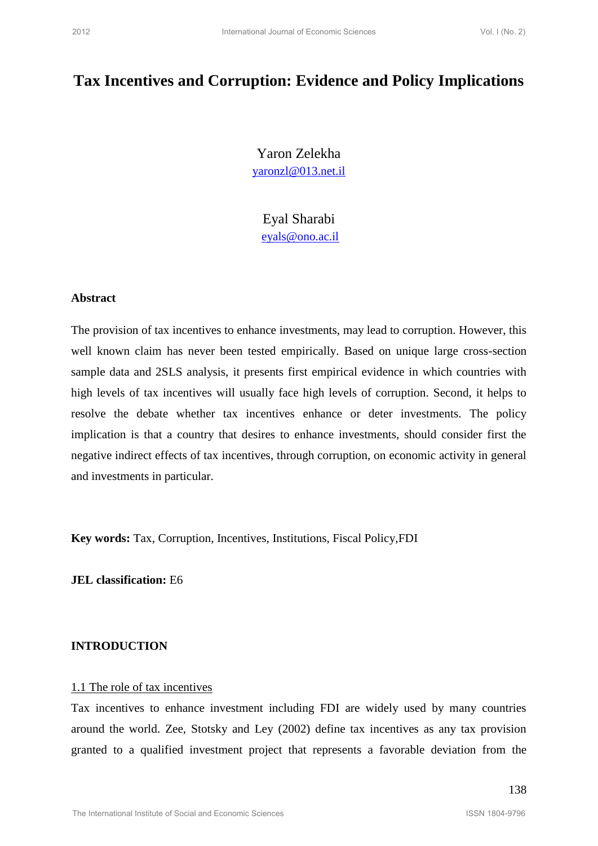# **Tax Incentives and Corruption: Evidence and Policy Implications**

Yaron Zelekha yaronzl@013.net.il

Eyal Sharabi eyals@ono.ac.il

#### **Abstract**

The provision of tax incentives to enhance investments, may lead to corruption. However, this well known claim has never been tested empirically. Based on unique large cross-section sample data and 2SLS analysis, it presents first empirical evidence in which countries with high levels of tax incentives will usually face high levels of corruption. Second, it helps to resolve the debate whether tax incentives enhance or deter investments. The policy implication is that a country that desires to enhance investments, should consider first the negative indirect effects of tax incentives, through corruption, on economic activity in general and investments in particular. 2012 Internatives and Corruption: Evidence and Policy Implications<br>
2012 Tax Incentives and Corruption: Evidence and Policy Implications<br>  $\frac{\text{var}(X|\text{data})}{\text{var}(X|\text{data})}$ <br>  $\frac{\text{var}(X|\text{data})}{\text{var}(X|\text{data})}$ <br>  $\frac{\text{var}(X|\text{data})}{\text{var}(X|\text$ 

**Key words:** Tax, Corruption, Incentives, Institutions, Fiscal Policy,FDI

**JEL classification:** E6

#### **INTRODUCTION**

### 1.1 The role of tax incentives

Tax incentives to enhance investment including FDI are widely used by many countries around the world. Zee, Stotsky and Ley (2002) define tax incentives as any tax provision granted to a qualified investment project that represents a favorable deviation from the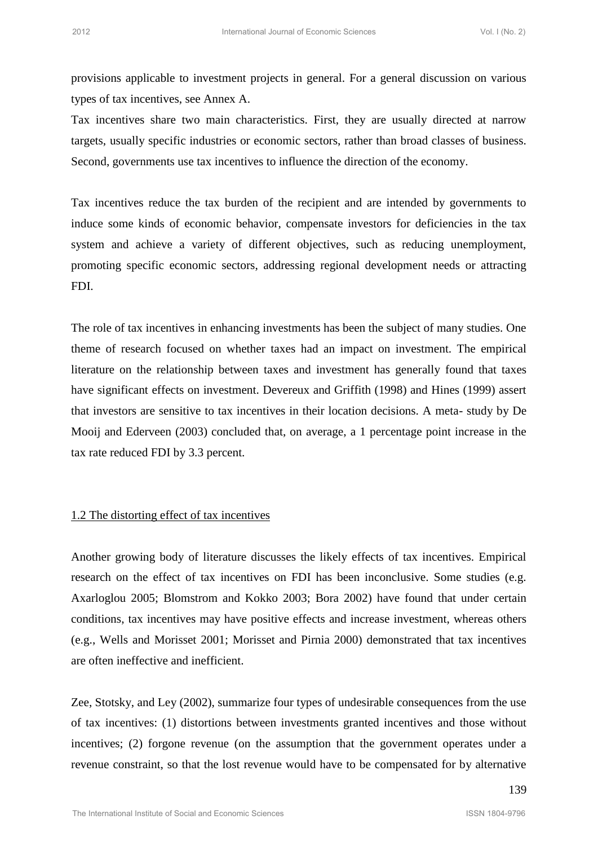provisions applicable to investment projects in general. For a general discussion on various types of tax incentives, see Annex A.

Tax incentives share two main characteristics. First, they are usually directed at narrow targets, usually specific industries or economic sectors, rather than broad classes of business. Second, governments use tax incentives to influence the direction of the economy.

Tax incentives reduce the tax burden of the recipient and are intended by governments to induce some kinds of economic behavior, compensate investors for deficiencies in the tax system and achieve a variety of different objectives, such as reducing unemployment, promoting specific economic sectors, addressing regional development needs or attracting FDI.

The role of tax incentives in enhancing investments has been the subject of many studies. One theme of research focused on whether taxes had an impact on investment. The empirical literature on the relationship between taxes and investment has generally found that taxes have significant effects on investment. Devereux and Griffith (1998) and Hines (1999) assert that investors are sensitive to tax incentives in their location decisions. A meta- study by De Mooij and Ederveen (2003) concluded that, on average, a 1 percentage point increase in the tax rate reduced FDI by 3.3 percent. <sup>2012</sup><br>
<sup>2012</sup> International sequence of Economic Sciences Vol. 2012<br>
2012 GUE according to the according term and characteristics. First, they are usually directed at narrow<br>
2012 GUE according Sciences A. Comomic distanc

#### 1.2 The distorting effect of tax incentives

Another growing body of literature discusses the likely effects of tax incentives. Empirical research on the effect of tax incentives on FDI has been inconclusive. Some studies (e.g. Axarloglou 2005; Blomstrom and Kokko 2003; Bora 2002) have found that under certain conditions, tax incentives may have positive effects and increase investment, whereas others (e.g., Wells and Morisset 2001; Morisset and Pirnia 2000) demonstrated that tax incentives are often ineffective and inefficient.

Zee, Stotsky, and Ley (2002), summarize four types of undesirable consequences from the use of tax incentives: (1) distortions between investments granted incentives and those without incentives; (2) forgone revenue (on the assumption that the government operates under a revenue constraint, so that the lost revenue would have to be compensated for by alternative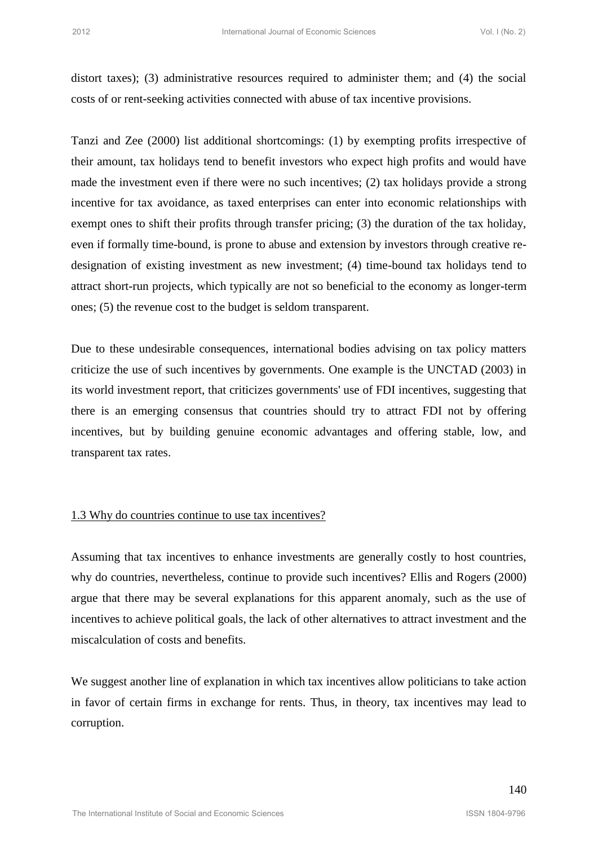distort taxes); (3) administrative resources required to administer them; and (4) the social costs of or rent-seeking activities connected with abuse of tax incentive provisions.

Tanzi and Zee (2000) list additional shortcomings: (1) by exempting profits irrespective of their amount, tax holidays tend to benefit investors who expect high profits and would have made the investment even if there were no such incentives; (2) tax holidays provide a strong incentive for tax avoidance, as taxed enterprises can enter into economic relationships with exempt ones to shift their profits through transfer pricing; (3) the duration of the tax holiday, even if formally time-bound, is prone to abuse and extension by investors through creative redesignation of existing investment as new investment; (4) time-bound tax holidays tend to attract short-run projects, which typically are not so beneficial to the economy as longer-term ones; (5) the revenue cost to the budget is seldom transparent. between the state of Corons (senses)<br>
2012 International Sciences Comparison of Corons (senses)<br>
2016/07 Is additional Sciences Vol. International Sciences Vol. International Analysis of the International Sciences Vol. Int

Due to these undesirable consequences, international bodies advising on tax policy matters criticize the use of such incentives by governments. One example is the UNCTAD (2003) in its world investment report, that criticizes governments' use of FDI incentives, suggesting that there is an emerging consensus that countries should try to attract FDI not by offering incentives, but by building genuine economic advantages and offering stable, low, and transparent tax rates.

## 1.3 Why do countries continue to use tax incentives?

Assuming that tax incentives to enhance investments are generally costly to host countries, why do countries, nevertheless, continue to provide such incentives? Ellis and Rogers (2000) argue that there may be several explanations for this apparent anomaly, such as the use of incentives to achieve political goals, the lack of other alternatives to attract investment and the miscalculation of costs and benefits.

We suggest another line of explanation in which tax incentives allow politicians to take action in favor of certain firms in exchange for rents. Thus, in theory, tax incentives may lead to corruption.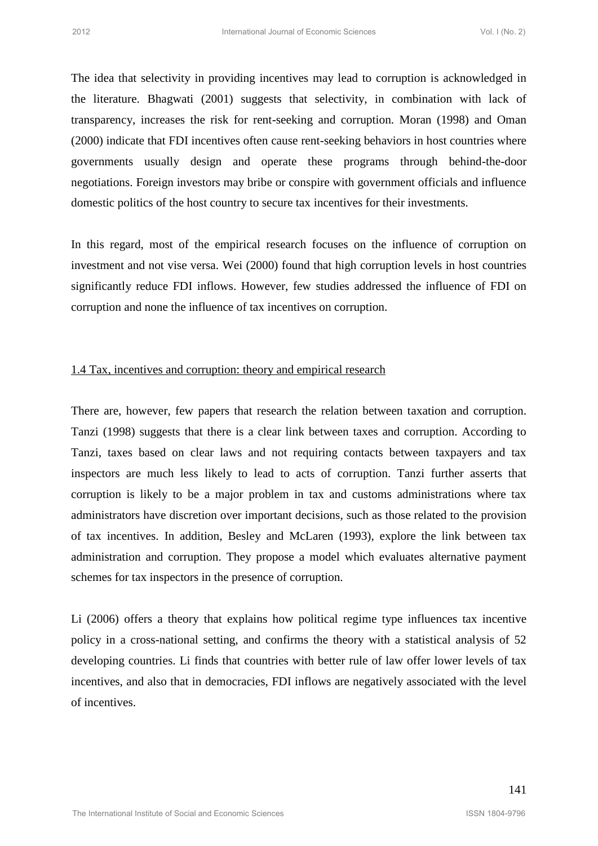The idea that selectivity in providing incentives may lead to corruption is acknowledged in the literature. Bhagwati (2001) suggests that selectivity, in combination with lack of transparency, increases the risk for rent-seeking and corruption. Moran (1998) and Oman (2000) indicate that FDI incentives often cause rent-seeking behaviors in host countries where governments usually design and operate these programs through behind-the-door negotiations. Foreign investors may bribe or conspire with government officials and influence domestic politics of the host country to secure tax incentives for their investments.

In this regard, most of the empirical research focuses on the influence of corruption on investment and not vise versa. Wei (2000) found that high corruption levels in host countries significantly reduce FDI inflows. However, few studies addressed the influence of FDI on corruption and none the influence of tax incentives on corruption.

## 1.4 Tax, incentives and corruption: theory and empirical research

There are, however, few papers that research the relation between taxation and corruption. Tanzi (1998) suggests that there is a clear link between taxes and corruption. According to Tanzi, taxes based on clear laws and not requiring contacts between taxpayers and tax inspectors are much less likely to lead to acts of corruption. Tanzi further asserts that corruption is likely to be a major problem in tax and customs administrations where tax administrators have discretion over important decisions, such as those related to the provision of tax incentives. In addition, Besley and McLaren (1993), explore the link between tax administration and corruption. They propose a model which evaluates alternative payment schemes for tax inspectors in the presence of corruption. **Exoting the second conner former is ensured and the second Sciences Vol. 1982**<br>
The identification: Blugesta DCO) suggests that selectivity, in combination with lack of<br>
Internation-Blugesta DCO) suggests that selectivit

Li (2006) offers a theory that explains how political regime type influences tax incentive policy in a cross-national setting, and confirms the theory with a statistical analysis of 52 developing countries. Li finds that countries with better rule of law offer lower levels of tax incentives, and also that in democracies, FDI inflows are negatively associated with the level of incentives.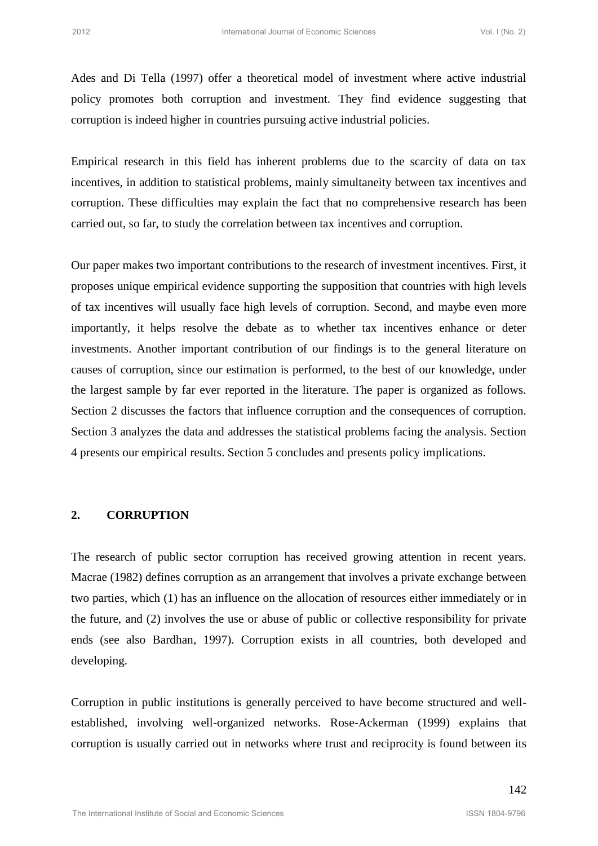Ades and Di Tella (1997) offer a theoretical model of investment where active industrial policy promotes both corruption and investment. They find evidence suggesting that corruption is indeed higher in countries pursuing active industrial policies.

Empirical research in this field has inherent problems due to the scarcity of data on tax incentives, in addition to statistical problems, mainly simultaneity between tax incentives and corruption. These difficulties may explain the fact that no comprehensive research has been carried out, so far, to study the correlation between tax incentives and corruption.

Our paper makes two important contributions to the research of investment incentives. First, it proposes unique empirical evidence supporting the supposition that countries with high levels of tax incentives will usually face high levels of corruption. Second, and maybe even more importantly, it helps resolve the debate as to whether tax incentives enhance or deter investments. Another important contribution of our findings is to the general literature on causes of corruption, since our estimation is performed, to the best of our knowledge, under the largest sample by far ever reported in the literature. The paper is organized as follows. Section 2 discusses the factors that influence corruption and the consequences of corruption. Section 3 analyzes the data and addresses the statistical problems facing the analysis. Section 4 presents our empirical results. Section 5 concludes and presents policy implications. <sup>2012</sup><br><sup>2012</sup><br><sup>2012</sup> Motes and Di Tella (1997) offer a theoretical model of investment where active industrial<br>policy promotes both corruption and investment. They find evidence suggesting that<br>corruption is indefined reac

## **2. CORRUPTION**

The research of public sector corruption has received growing attention in recent years. Macrae (1982) defines corruption as an arrangement that involves a private exchange between two parties, which (1) has an influence on the allocation of resources either immediately or in the future, and (2) involves the use or abuse of public or collective responsibility for private ends (see also Bardhan, 1997). Corruption exists in all countries, both developed and developing.

Corruption in public institutions is generally perceived to have become structured and wellestablished, involving well-organized networks. Rose-Ackerman (1999) explains that corruption is usually carried out in networks where trust and reciprocity is found between its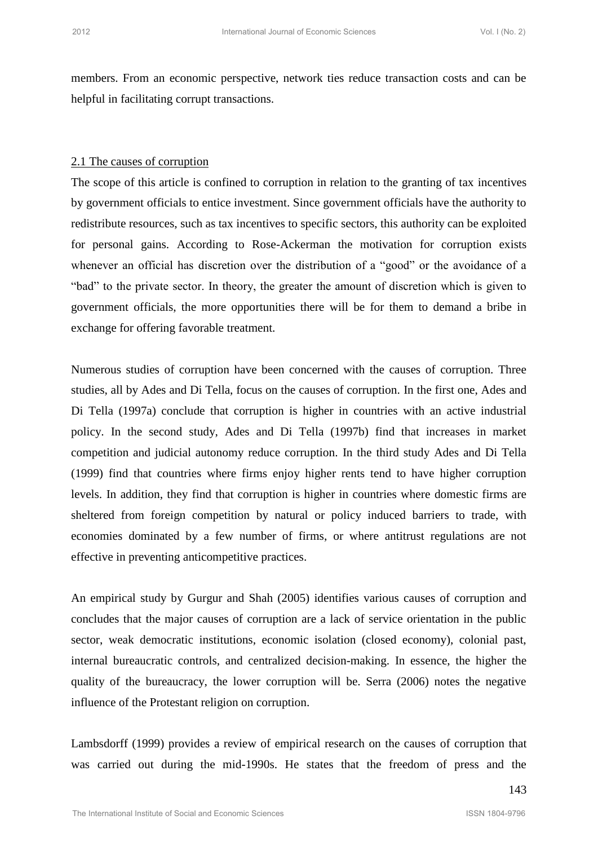members. From an economic perspective, network ties reduce transaction costs and can be helpful in facilitating corrupt transactions.

## 2.1 The causes of corruption

The scope of this article is confined to corruption in relation to the granting of tax incentives by government officials to entice investment. Since government officials have the authority to redistribute resources, such as tax incentives to specific sectors, this authority can be exploited for personal gains. According to Rose-Ackerman the motivation for corruption exists whenever an official has discretion over the distribution of a "good" or the avoidance of a "bad" to the private sector. In theory, the greater the amount of discretion which is given to government officials, the more opportunities there will be for them to demand a bribe in exchange for offering favorable treatment.

Numerous studies of corruption have been concerned with the causes of corruption. Three studies, all by Ades and Di Tella, focus on the causes of corruption. In the first one, Ades and Di Tella (1997a) conclude that corruption is higher in countries with an active industrial policy. In the second study, Ades and Di Tella (1997b) find that increases in market competition and judicial autonomy reduce corruption. In the third study Ades and Di Tella (1999) find that countries where firms enjoy higher rents tend to have higher corruption levels. In addition, they find that corruption is higher in countries where domestic firms are sheltered from foreign competition by natural or policy induced barriers to trade, with economies dominated by a few number of firms, or where antitrust regulations are not effective in preventing anticompetitive practices. International International Coronic Sciences Vol. 1962 2012<br>
2.1 The assues of communito properties, network ties reduce transaction costs and can be<br>
2.1 The assues of communiton<br>
2.1 The assues of communiton<br>
The scope o

An empirical study by Gurgur and Shah (2005) identifies various causes of corruption and concludes that the major causes of corruption are a lack of service orientation in the public sector, weak democratic institutions, economic isolation (closed economy), colonial past, internal bureaucratic controls, and centralized decision-making. In essence, the higher the quality of the bureaucracy, the lower corruption will be. Serra (2006) notes the negative influence of the Protestant religion on corruption.

Lambsdorff (1999) provides a review of empirical research on the causes of corruption that was carried out during the mid-1990s. He states that the freedom of press and the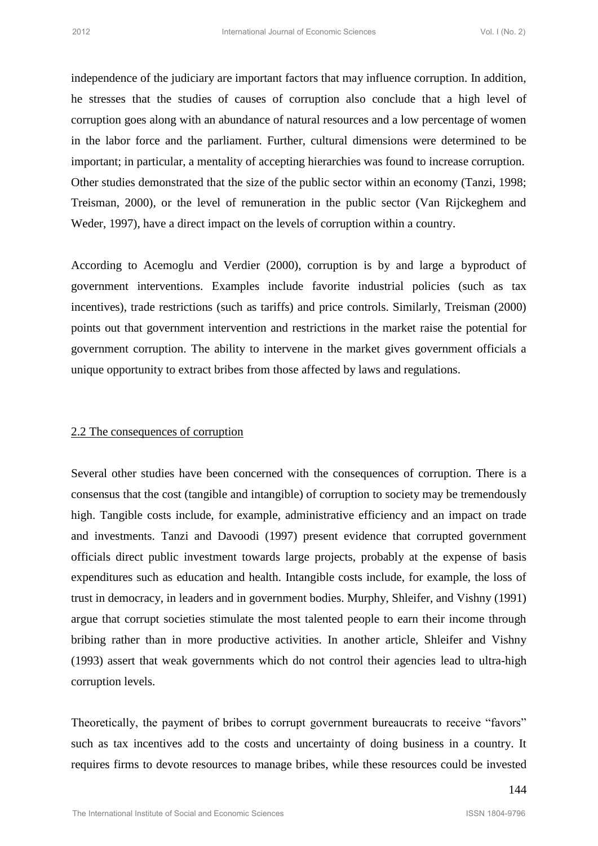independence of the judiciary are important factors that may influence corruption. In addition, he stresses that the studies of causes of corruption also conclude that a high level of corruption goes along with an abundance of natural resources and a low percentage of women in the labor force and the parliament. Further, cultural dimensions were determined to be important; in particular, a mentality of accepting hierarchies was found to increase corruption. Other studies demonstrated that the size of the public sector within an economy (Tanzi, 1998; Treisman, 2000), or the level of remuneration in the public sector (Van Rijckeghem and Weder, 1997), have a direct impact on the levels of corruption within a country.

According to Acemoglu and Verdier (2000), corruption is by and large a byproduct of government interventions. Examples include favorite industrial policies (such as tax incentives), trade restrictions (such as tariffs) and price controls. Similarly, Treisman (2000) points out that government intervention and restrictions in the market raise the potential for government corruption. The ability to intervene in the market gives government officials a unique opportunity to extract bribes from those affected by laws and regulations.

#### 2.2 The consequences of corruption

Several other studies have been concerned with the consequences of corruption. There is a consensus that the cost (tangible and intangible) of corruption to society may be tremendously high. Tangible costs include, for example, administrative efficiency and an impact on trade and investments. Tanzi and Davoodi (1997) present evidence that corrupted government officials direct public investment towards large projects, probably at the expense of basis expenditures such as education and health. Intangible costs include, for example, the loss of trust in democracy, in leaders and in government bodies. Murphy, Shleifer, and Vishny (1991) argue that corrupt societies stimulate the most talented people to earn their income through bribing rather than in more productive activities. In another article, Shleifer and Vishny (1993) assert that weak governments which do not control their agencies lead to ultra-high corruption levels. <sup>2012</sup><br>
<sup>2012</sup> International of the judicity are important factors that may influence corruption. In addition,<br>
30 Independence of Corruption also concludes but a high level of<br>
30 International Domain and Domain and Domai

Theoretically, the payment of bribes to corrupt government bureaucrats to receive "favors" such as tax incentives add to the costs and uncertainty of doing business in a country. It requires firms to devote resources to manage bribes, while these resources could be invested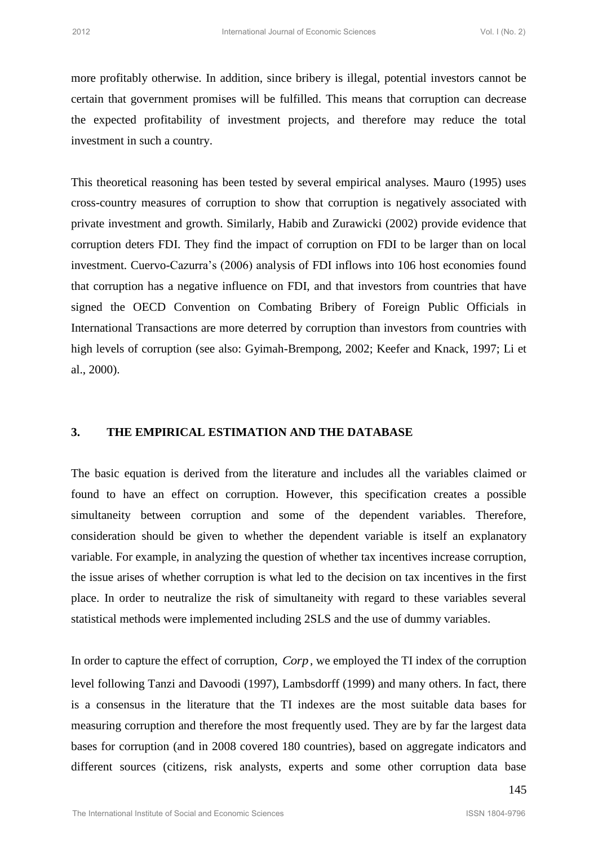more profitably otherwise. In addition, since bribery is illegal, potential investors cannot be certain that government promises will be fulfilled. This means that corruption can decrease the expected profitability of investment projects, and therefore may reduce the total investment in such a country.

This theoretical reasoning has been tested by several empirical analyses. Mauro (1995) uses cross-country measures of corruption to show that corruption is negatively associated with private investment and growth. Similarly, Habib and Zurawicki (2002) provide evidence that corruption deters FDI. They find the impact of corruption on FDI to be larger than on local investment. Cuervo-Cazurra's (2006) analysis of FDI inflows into 106 host economies found that corruption has a negative influence on FDI, and that investors from countries that have signed the OECD Convention on Combating Bribery of Foreign Public Officials in International Transactions are more deterred by corruption than investors from countries with high levels of corruption (see also: Gyimah-Brempong, 2002; Keefer and Knack, 1997; Li et al., 2000). <sup>2012</sup><br>
<sup>2012</sup> International government promiss will be folding since Schemes Vol. 1982<br>
2012 International Journal Doctomic Sciences Vol. International Institute of Economic<br>
2012 International Journal Doctomic Sciences V

#### **3. THE EMPIRICAL ESTIMATION AND THE DATABASE**

The basic equation is derived from the literature and includes all the variables claimed or found to have an effect on corruption. However, this specification creates a possible simultaneity between corruption and some of the dependent variables. Therefore, consideration should be given to whether the dependent variable is itself an explanatory variable. For example, in analyzing the question of whether tax incentives increase corruption, the issue arises of whether corruption is what led to the decision on tax incentives in the first place. In order to neutralize the risk of simultaneity with regard to these variables several statistical methods were implemented including 2SLS and the use of dummy variables.

In order to capture the effect of corruption, *Corp* , we employed the TI index of the corruption level following Tanzi and Davoodi (1997), Lambsdorff (1999) and many others. In fact, there is a consensus in the literature that the TI indexes are the most suitable data bases for measuring corruption and therefore the most frequently used. They are by far the largest data bases for corruption (and in 2008 covered 180 countries), based on aggregate indicators and different sources (citizens, risk analysts, experts and some other corruption data base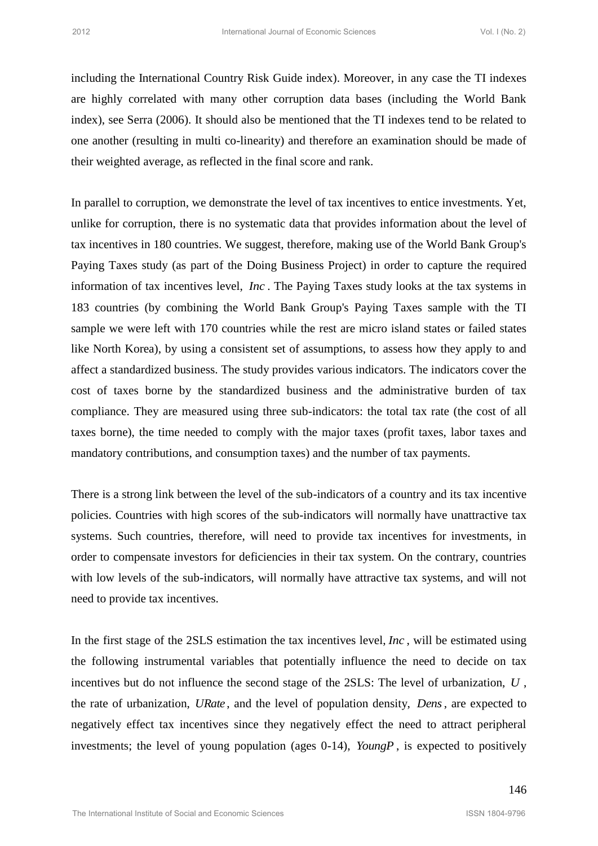including the International Country Risk Guide index). Moreover, in any case the TI indexes are highly correlated with many other corruption data bases (including the World Bank index), see Serra (2006). It should also be mentioned that the TI indexes tend to be related to one another (resulting in multi co-linearity) and therefore an examination should be made of their weighted average, as reflected in the final score and rank.

In parallel to corruption, we demonstrate the level of tax incentives to entice investments. Yet, unlike for corruption, there is no systematic data that provides information about the level of tax incentives in 180 countries. We suggest, therefore, making use of the World Bank Group's Paying Taxes study (as part of the Doing Business Project) in order to capture the required information of tax incentives level, *Inc* . The Paying Taxes study looks at the tax systems in 183 countries (by combining the World Bank Group's Paying Taxes sample with the TI sample we were left with 170 countries while the rest are micro island states or failed states like North Korea), by using a consistent set of assumptions, to assess how they apply to and affect a standardized business. The study provides various indicators. The indicators cover the cost of taxes borne by the standardized business and the administrative burden of tax compliance. They are measured using three sub-indicators: the total tax rate (the cost of all taxes borne), the time needed to comply with the major taxes (profit taxes, labor taxes and mandatory contributions, and consumption taxes) and the number of tax payments. <sup>2012</sup><br><sup>2012</sup> International Country Risk Guide index). Moreover, in any ease of ET indexes<br>
2012 International Country Risk Guide international data been included<br>that the International of Economic Sciences Vol. Internatio

There is a strong link between the level of the sub-indicators of a country and its tax incentive policies. Countries with high scores of the sub-indicators will normally have unattractive tax systems. Such countries, therefore, will need to provide tax incentives for investments, in order to compensate investors for deficiencies in their tax system. On the contrary, countries with low levels of the sub-indicators, will normally have attractive tax systems, and will not need to provide tax incentives.

In the first stage of the 2SLS estimation the tax incentives level, *Inc* , will be estimated using the following instrumental variables that potentially influence the need to decide on tax incentives but do not influence the second stage of the 2SLS: The level of urbanization, *U* , the rate of urbanization, *URate* , and the level of population density, *Dens* , are expected to negatively effect tax incentives since they negatively effect the need to attract peripheral investments; the level of young population (ages 0-14), *YoungP* , is expected to positively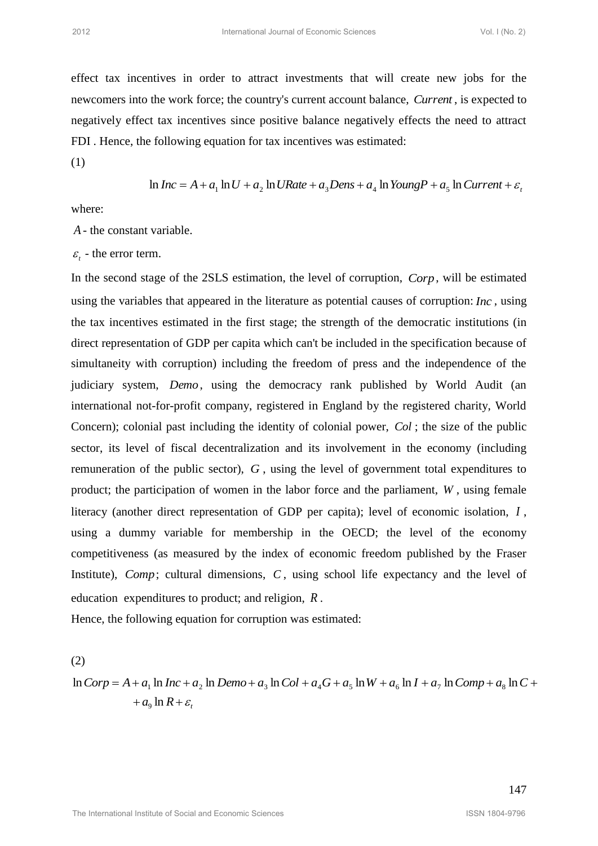effect tax incentives in order to attract investments that will create new jobs for the newcomers into the work force; the country's current account balance, *Current* , is expected to negatively effect tax incentives since positive balance negatively effects the need to attract FDI . Hence, the following equation for tax incentives was estimated:

(1)

$$
\ln Inc = A + a_1 \ln U + a_2 \ln URate + a_3Dens + a_4 \ln YoungP + a_5 \ln Current + \varepsilon_t
$$

where:

*A* - the constant variable.

 $\varepsilon$ <sub>t</sub> - the error term.

In the second stage of the 2SLS estimation, the level of corruption, *Corp* , will be estimated using the variables that appeared in the literature as potential causes of corruption: *Inc* , using the tax incentives estimated in the first stage; the strength of the democratic institutions (in direct representation of GDP per capita which can't be included in the specification because of simultaneity with corruption) including the freedom of press and the independence of the judiciary system, *Demo* , using the democracy rank published by World Audit (an international not-for-profit company, registered in England by the registered charity, World Concern); colonial past including the identity of colonial power, *Col*; the size of the public sector, its level of fiscal decentralization and its involvement in the economy (including remuneration of the public sector), G, using the level of government total expenditures to product; the participation of women in the labor force and the parliament, *W* , using female literacy (another direct representation of GDP per capita); level of economic isolation, *I* , using a dummy variable for membership in the OECD; the level of the economy competitiveness (as measured by the index of economic freedom published by the Fraser Institute), Comp; cultural dimensions, C, using school life expectancy and the level of education expenditures to product; and religion, *R* . **Exoting the second of Economic Sciences** (We find the second<br>
Effect rax incredibtes in order to american science in the second process (Society) is expected to<br>
measurement in the work from the institute of Economics Sc

Hence, the following equation for corruption was estimated:

(2)  $\ln$  *Corp* = *A* + *a*<sub>1</sub>  $\ln$  *Inc* + *a*<sub>2</sub>  $\ln$  *Demo* + *a*<sub>3</sub>  $\ln$  *Col* + *a*<sub>4</sub> *G* + *a*<sub>5</sub>  $\ln$ *W* + *a*<sub>6</sub>  $\ln$ *I* + *a*<sub>7</sub>  $\ln$  *Comp* + *a*<sub>8</sub>  $\ln$  *C* +  $+a_0 \ln R + \varepsilon$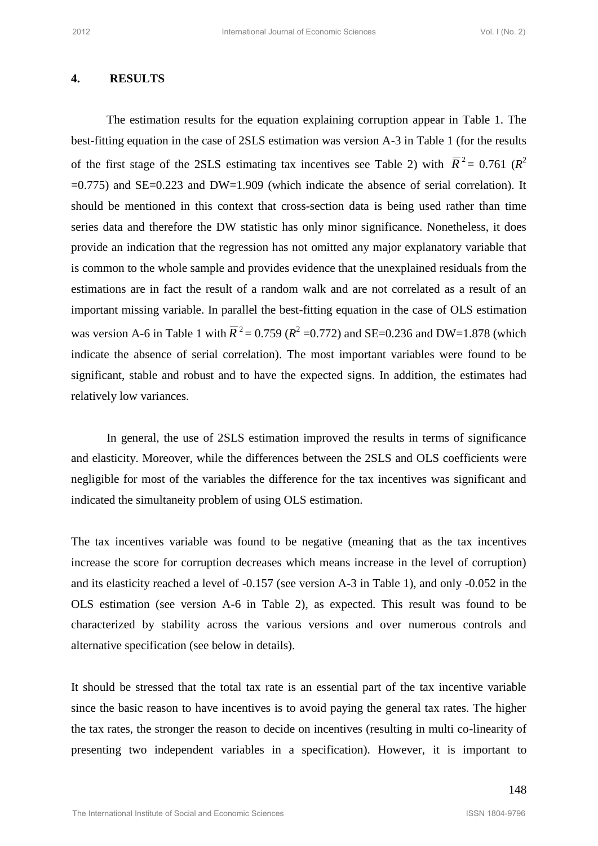#### **4. RESULTS**

The estimation results for the equation explaining corruption appear in Table 1. The best-fitting equation in the case of 2SLS estimation was version A-3 in Table 1 (for the results of the first stage of the 2SLS estimating tax incentives see Table 2) with  $\overline{R}^2 = 0.761$  ( $R^2$ )  $=0.775$ ) and SE $=0.223$  and DW $=1.909$  (which indicate the absence of serial correlation). It should be mentioned in this context that cross-section data is being used rather than time series data and therefore the DW statistic has only minor significance. Nonetheless, it does provide an indication that the regression has not omitted any major explanatory variable that is common to the whole sample and provides evidence that the unexplained residuals from the estimations are in fact the result of a random walk and are not correlated as a result of an important missing variable. In parallel the best-fitting equation in the case of OLS estimation was version A-6 in Table 1 with  $\bar{R}^2 = 0.759$  ( $R^2 = 0.772$ ) and SE=0.236 and DW=1.878 (which indicate the absence of serial correlation). The most important variables were found to be significant, stable and robust and to have the expected signs. In addition, the estimates had relatively low variances. **EXECUT:** IS an internation consideration of Coronic Sciences Vol. 1962 2.<br> **2012** International Text and DV and DV and Text and Text and Text and Text and the International Order Economic Sciences Vol. In Earlier 10. The

 In general, the use of 2SLS estimation improved the results in terms of significance and elasticity. Moreover, while the differences between the 2SLS and OLS coefficients were negligible for most of the variables the difference for the tax incentives was significant and indicated the simultaneity problem of using OLS estimation.

The tax incentives variable was found to be negative (meaning that as the tax incentives increase the score for corruption decreases which means increase in the level of corruption) and its elasticity reached a level of -0.157 (see version A-3 in Table 1), and only -0.052 in the OLS estimation (see version A-6 in Table 2), as expected. This result was found to be characterized by stability across the various versions and over numerous controls and alternative specification (see below in details).

It should be stressed that the total tax rate is an essential part of the tax incentive variable since the basic reason to have incentives is to avoid paying the general tax rates. The higher the tax rates, the stronger the reason to decide on incentives (resulting in multi co-linearity of presenting two independent variables in a specification). However, it is important to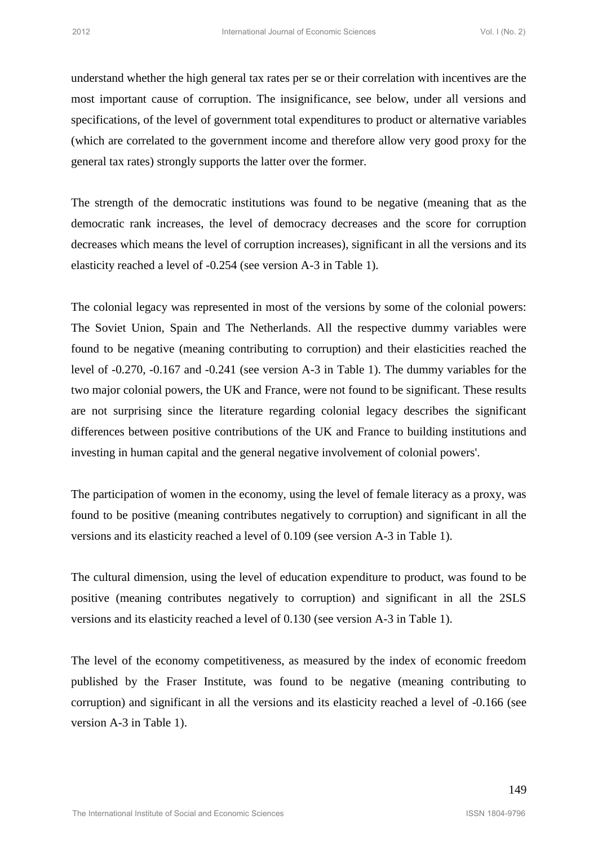understand whether the high general tax rates per se or their correlation with incentives are the most important cause of corruption. The insignificance, see below, under all versions and specifications, of the level of government total expenditures to product or alternative variables (which are correlated to the government income and therefore allow very good proxy for the general tax rates) strongly supports the latter over the former.

The strength of the democratic institutions was found to be negative (meaning that as the democratic rank increases, the level of democracy decreases and the score for corruption decreases which means the level of corruption increases), significant in all the versions and its elasticity reached a level of -0.254 (see version A-3 in Table 1).

The colonial legacy was represented in most of the versions by some of the colonial powers: The Soviet Union, Spain and The Netherlands. All the respective dummy variables were found to be negative (meaning contributing to corruption) and their elasticities reached the level of -0.270, -0.167 and -0.241 (see version A-3 in Table 1). The dummy variables for the two major colonial powers, the UK and France, were not found to be significant. These results are not surprising since the literature regarding colonial legacy describes the significant differences between positive contributions of the UK and France to building institutions and investing in human capital and the general negative involvement of colonial powers'. **Exonomic Sciences Conomic Sciences Vol. 1902**<br>
Independent of Corresponding Constant mate and the International Superior (Section and model internation such that the Internation of the Internation Sciences Vol. Internati

The participation of women in the economy, using the level of female literacy as a proxy, was found to be positive (meaning contributes negatively to corruption) and significant in all the versions and its elasticity reached a level of 0.109 (see version A-3 in Table 1).

The cultural dimension, using the level of education expenditure to product, was found to be positive (meaning contributes negatively to corruption) and significant in all the 2SLS versions and its elasticity reached a level of 0.130 (see version A-3 in Table 1).

The level of the economy competitiveness, as measured by the index of economic freedom published by the Fraser Institute, was found to be negative (meaning contributing to corruption) and significant in all the versions and its elasticity reached a level of -0.166 (see version A-3 in Table 1).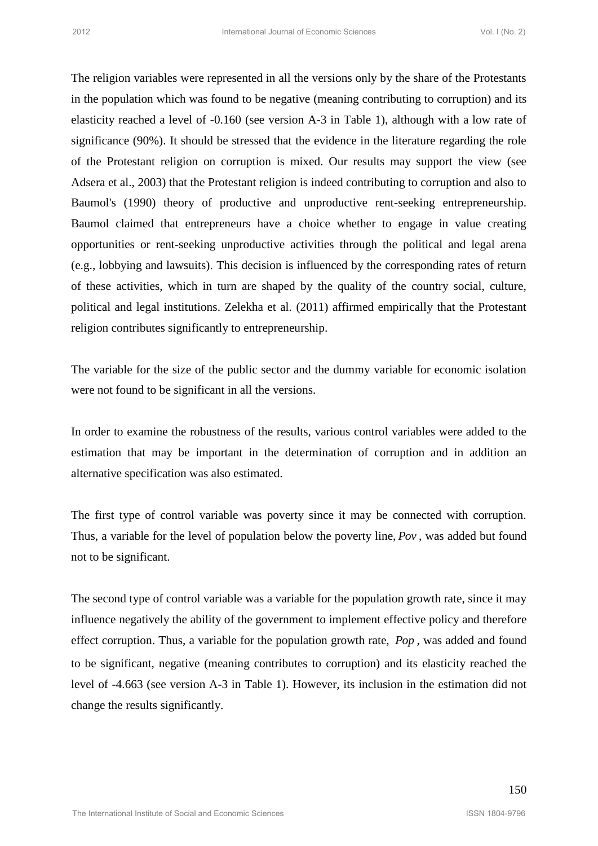The religion variables were represented in all the versions only by the share of the Protestants in the population which was found to be negative (meaning contributing to corruption) and its elasticity reached a level of -0.160 (see version A-3 in Table 1), although with a low rate of significance (90%). It should be stressed that the evidence in the literature regarding the role of the Protestant religion on corruption is mixed. Our results may support the view (see Adsera et al., 2003) that the Protestant religion is indeed contributing to corruption and also to Baumol's (1990) theory of productive and unproductive rent-seeking entrepreneurship. Baumol claimed that entrepreneurs have a choice whether to engage in value creating opportunities or rent-seeking unproductive activities through the political and legal arena (e.g., lobbying and lawsuits). This decision is influenced by the corresponding rates of return of these activities, which in turn are shaped by the quality of the country social, culture, political and legal institutions. Zelekha et al. (2011) affirmed empirically that the Protestant religion contributes significantly to entrepreneurship. <sup>2012</sup><br>
<sup>2012</sup> International which was found to be negative tunnel of the Use 2)<br>
The religion variables was found to be negative (meaning contributing to corruption) and is<br>
shocking treated a lovel of -0.1030 (see versio

The variable for the size of the public sector and the dummy variable for economic isolation were not found to be significant in all the versions.

In order to examine the robustness of the results, various control variables were added to the estimation that may be important in the determination of corruption and in addition an alternative specification was also estimated.

The first type of control variable was poverty since it may be connected with corruption. Thus, a variable for the level of population below the poverty line, *Pov* , was added but found not to be significant.

The second type of control variable was a variable for the population growth rate, since it may influence negatively the ability of the government to implement effective policy and therefore effect corruption. Thus, a variable for the population growth rate, *Pop* , was added and found to be significant, negative (meaning contributes to corruption) and its elasticity reached the level of -4.663 (see version A-3 in Table 1). However, its inclusion in the estimation did not change the results significantly.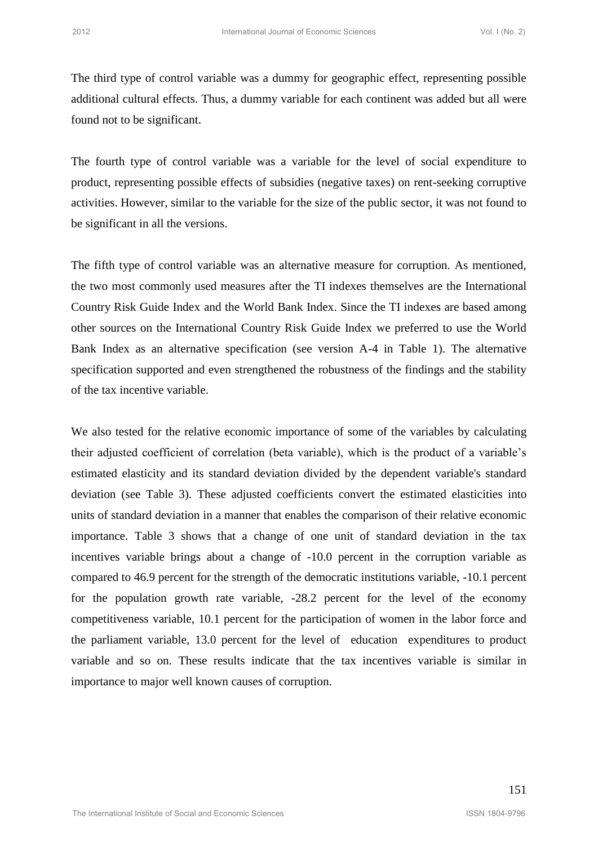The third type of control variable was a dummy for geographic effect, representing possible additional cultural effects. Thus, a dummy variable for each continent was added but all were found not to be significant.

The fourth type of control variable was a variable for the level of social expenditure to product, representing possible effects of subsidies (negative taxes) on rent-seeking corruptive activities. However, similar to the variable for the size of the public sector, it was not found to be significant in all the versions.

The fifth type of control variable was an alternative measure for corruption. As mentioned, the two most commonly used measures after the TI indexes themselves are the International Country Risk Guide Index and the World Bank Index. Since the TI indexes are based among other sources on the International Country Risk Guide Index we preferred to use the World Bank Index as an alternative specification (see version A-4 in Table 1). The alternative specification supported and even strengthened the robustness of the findings and the stability of the tax incentive variable.

We also tested for the relative economic importance of some of the variables by calculating their adjusted coefficient of correlation (beta variable), which is the product of a variable"s estimated elasticity and its standard deviation divided by the dependent variable's standard deviation (see Table 3). These adjusted coefficients convert the estimated elasticities into units of standard deviation in a manner that enables the comparison of their relative economic importance. Table 3 shows that a change of one unit of standard deviation in the tax incentives variable brings about a change of -10.0 percent in the corruption variable as compared to 46.9 percent for the strength of the democratic institutions variable, -10.1 percent for the population growth rate variable, -28.2 percent for the level of the economy competitiveness variable, 10.1 percent for the participation of women in the labor force and the parliament variable, 13.0 percent for the level of education expenditures to product variable and so on. These results indicate that the tax incentives variable is similar in importance to major well known causes of corruption. International correct Sciences Vol. 1982<br>
The third type of control variable was a dummy for geographic effects (representing possible<br>
diditional colorinal celectives a variable for the local of social and<br>
Distribute of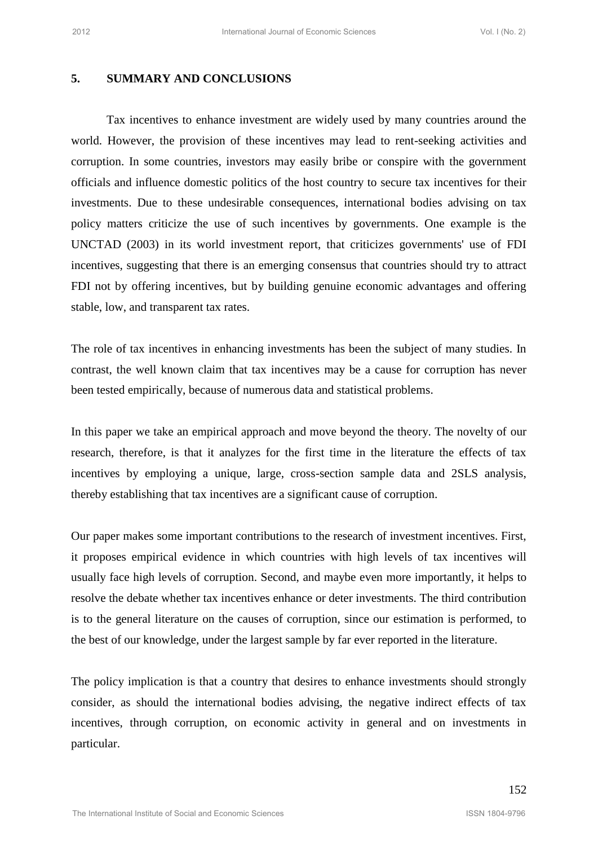## **5. SUMMARY AND CONCLUSIONS**

Tax incentives to enhance investment are widely used by many countries around the world. However, the provision of these incentives may lead to rent-seeking activities and corruption. In some countries, investors may easily bribe or conspire with the government officials and influence domestic politics of the host country to secure tax incentives for their investments. Due to these undesirable consequences, international bodies advising on tax policy matters criticize the use of such incentives by governments. One example is the UNCTAD (2003) in its world investment report, that criticizes governments' use of FDI incentives, suggesting that there is an emerging consensus that countries should try to attract FDI not by offering incentives, but by building genuine economic advantages and offering stable, low, and transparent tax rates. <sup>2012</sup><br><sup>2012</sup><br>2012 **STOMAARY AND CONCLUSIONS**<br>2012 Internatives to enhance investment ure widely used by many countries around the<br>2014 Internatives to enhance investment ure widely used by many countries around the<br>2016 I

The role of tax incentives in enhancing investments has been the subject of many studies. In contrast, the well known claim that tax incentives may be a cause for corruption has never been tested empirically, because of numerous data and statistical problems.

In this paper we take an empirical approach and move beyond the theory. The novelty of our research, therefore, is that it analyzes for the first time in the literature the effects of tax incentives by employing a unique, large, cross-section sample data and 2SLS analysis, thereby establishing that tax incentives are a significant cause of corruption.

Our paper makes some important contributions to the research of investment incentives. First, it proposes empirical evidence in which countries with high levels of tax incentives will usually face high levels of corruption. Second, and maybe even more importantly, it helps to resolve the debate whether tax incentives enhance or deter investments. The third contribution is to the general literature on the causes of corruption, since our estimation is performed, to the best of our knowledge, under the largest sample by far ever reported in the literature.

The policy implication is that a country that desires to enhance investments should strongly consider, as should the international bodies advising, the negative indirect effects of tax incentives, through corruption, on economic activity in general and on investments in particular.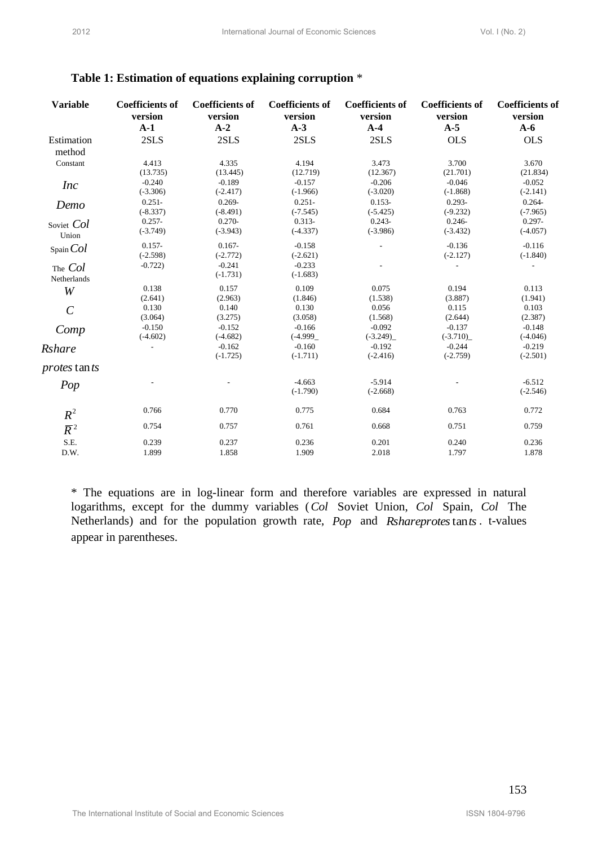| <b>Variable</b>       | <b>Coefficients of</b><br>version<br>$A-1$                                                                                                                                                                                                                                                    | <b>Coefficients of</b><br>version<br>$A-2$ | <b>Coefficients of</b><br>version<br>$A-3$ | <b>Coefficients of</b><br>version<br>$A-4$ | <b>Coefficients of</b><br>version<br>$A-5$ | <b>Coefficients of</b><br>version<br>$A-6$ |
|-----------------------|-----------------------------------------------------------------------------------------------------------------------------------------------------------------------------------------------------------------------------------------------------------------------------------------------|--------------------------------------------|--------------------------------------------|--------------------------------------------|--------------------------------------------|--------------------------------------------|
| Estimation            | 2SLS                                                                                                                                                                                                                                                                                          | 2SLS                                       | 2SLS                                       | 2SLS                                       | <b>OLS</b>                                 | <b>OLS</b>                                 |
| method<br>Constant    | 4.413                                                                                                                                                                                                                                                                                         | 4.335                                      | 4.194                                      | 3.473                                      | 3.700                                      | 3.670                                      |
|                       | (13.735)<br>$-0.240$                                                                                                                                                                                                                                                                          | (13.445)<br>$-0.189$                       | (12.719)<br>$-0.157$                       | (12.367)<br>$-0.206$                       | (21.701)<br>$-0.046$                       | (21.834)<br>$-0.052$                       |
| <i>Inc</i>            | $(-3.306)$                                                                                                                                                                                                                                                                                    | $(-2.417)$                                 | $(-1.966)$                                 | $(-3.020)$                                 | $(-1.868)$                                 | $(-2.141)$                                 |
| Demo                  | $0.251 -$<br>$(-8.337)$                                                                                                                                                                                                                                                                       | $0.269 -$<br>$(-8.491)$                    | $0.251 -$<br>$(-7.545)$                    | $0.153 -$<br>$(-5.425)$                    | $0.293 -$<br>$(-9.232)$                    | $0.264 -$<br>$(-7.965)$                    |
| Soviet Col            | $0.257 -$<br>$(-3.749)$                                                                                                                                                                                                                                                                       | $0.270 -$<br>$(-3.943)$                    | $0.313 -$<br>$(-4.337)$                    | $0.243 -$<br>$(-3.986)$                    | $0.246 -$<br>$(-3.432)$                    | $0.297 -$<br>$(-4.057)$                    |
| Union                 | $0.157 -$                                                                                                                                                                                                                                                                                     | $0.167 -$                                  | $-0.158$                                   |                                            | $-0.136$                                   | $-0.116$                                   |
| SpanCol               | $(-2.598)$                                                                                                                                                                                                                                                                                    | $(-2.772)$                                 | $(-2.621)$                                 |                                            | $(-2.127)$                                 | $(-1.840)$                                 |
| The Col               | $-0.722$                                                                                                                                                                                                                                                                                      | $-0.241$<br>$(-1.731)$                     | $-0.233$<br>$(-1.683)$                     |                                            |                                            |                                            |
| Netherlands<br>W      | 0.138                                                                                                                                                                                                                                                                                         | 0.157                                      | 0.109                                      | 0.075                                      | 0.194                                      | 0.113                                      |
|                       | (2.641)<br>0.130                                                                                                                                                                                                                                                                              | (2.963)<br>0.140                           | (1.846)<br>0.130                           | (1.538)                                    | (3.887)<br>0.115                           | (1.941)                                    |
| $\mathcal{C}_{0}^{0}$ | (3.064)                                                                                                                                                                                                                                                                                       | (3.275)                                    | (3.058)                                    | 0.056<br>(1.568)                           | (2.644)                                    | 0.103<br>(2.387)                           |
| Comp                  | $-0.150$<br>$(-4.602)$                                                                                                                                                                                                                                                                        | $-0.152$<br>$(-4.682)$                     | $-0.166$<br>$(-4.999)$                     | $-0.092$<br>$(-3.249)$                     | $-0.137$<br>$(-3.710)$                     | $-0.148$<br>$(-4.046)$                     |
| Rshare                | $\overline{a}$                                                                                                                                                                                                                                                                                | $-0.162$                                   | $-0.160$                                   | $-0.192$                                   | $-0.244$                                   | $-0.219$                                   |
| <i>protes</i> tan ts  |                                                                                                                                                                                                                                                                                               | $(-1.725)$                                 | $(-1.711)$                                 | $(-2.416)$                                 | $(-2.759)$                                 | $(-2.501)$                                 |
|                       |                                                                                                                                                                                                                                                                                               |                                            | $-4.663$                                   | $-5.914$                                   |                                            | $-6.512$                                   |
| Pop                   |                                                                                                                                                                                                                                                                                               |                                            | $(-1.790)$                                 | $(-2.668)$                                 |                                            | $(-2.546)$                                 |
| $R^2$                 | 0.766                                                                                                                                                                                                                                                                                         | 0.770                                      | 0.775                                      | 0.684                                      | 0.763                                      | 0.772                                      |
| $\overline{R}^2$      | 0.754                                                                                                                                                                                                                                                                                         | 0.757                                      | 0.761                                      | 0.668                                      | 0.751                                      | 0.759                                      |
| S.E.<br>D.W.          | 0.239<br>1.899                                                                                                                                                                                                                                                                                | 0.237<br>1.858                             | 0.236<br>1.909                             | 0.201<br>2.018                             | 0.240<br>1.797                             | 0.236<br>1.878                             |
|                       | * The equations are in log-linear form and therefore variables are expressed in natural<br>logarithms, except for the dummy variables (Col Soviet Union, Col Spain, Col The<br>Netherlands) and for the population growth rate, Pop and Rshareprotestants. t-values<br>appear in parentheses. |                                            |                                            |                                            |                                            |                                            |

## **Table 1: Estimation of equations explaining corruption** \*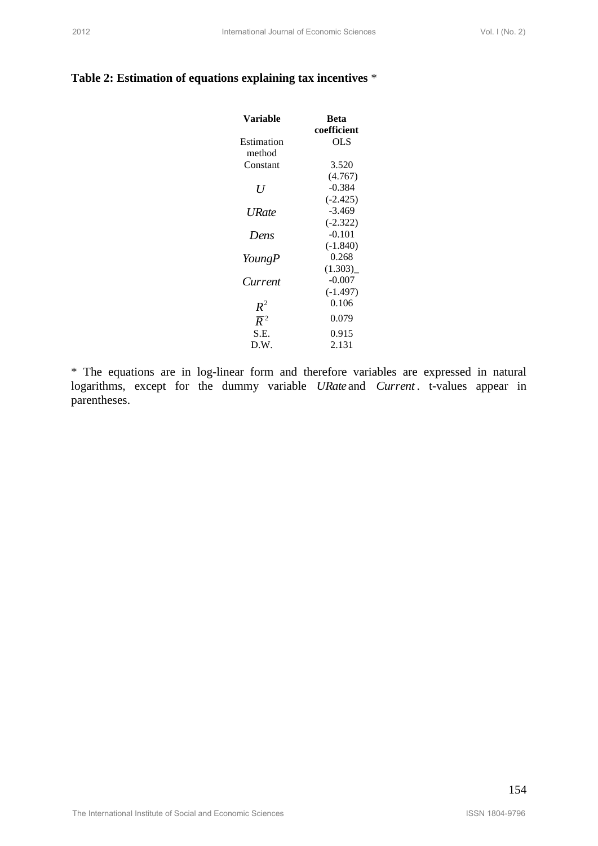## **Table 2: Estimation of equations explaining tax incentives** \*

| 2012                                                         | International Journal of Economic Sciences |                     | Vol. I (No. 2) |
|--------------------------------------------------------------|--------------------------------------------|---------------------|----------------|
|                                                              |                                            |                     |                |
| Table 2: Estimation of equations explaining tax incentives * |                                            |                     |                |
|                                                              | <b>Variable</b>                            | <b>Beta</b>         |                |
|                                                              |                                            | coefficient         |                |
|                                                              | Estimation                                 | <b>OLS</b>          |                |
|                                                              | method                                     |                     |                |
|                                                              | Constant                                   | 3.520<br>(4.767)    |                |
|                                                              | $\boldsymbol{U}$                           | $-0.384$            |                |
|                                                              |                                            | $(-2.425)$          |                |
|                                                              | <b>URate</b>                               | $-3.469$            |                |
|                                                              |                                            | $(-2.322)$          |                |
|                                                              | Dens                                       | $-0.101$            |                |
|                                                              |                                            | $(-1.840)$<br>0.268 |                |
|                                                              | YoungP                                     | (1.303)             |                |
|                                                              | Current                                    | $-0.007$            |                |
|                                                              |                                            | $(-1.497)$          |                |
|                                                              | $R^2$                                      | 0.106               |                |
|                                                              | $\overline{R}^2$                           | 0.079               |                |
|                                                              | S.E.                                       | 0.915               |                |
|                                                              | D.W.                                       | 2.131               |                |
|                                                              |                                            |                     |                |
|                                                              |                                            |                     |                |
|                                                              |                                            |                     |                |
|                                                              |                                            |                     |                |
|                                                              |                                            |                     |                |
|                                                              |                                            |                     |                |
|                                                              |                                            |                     |                |
|                                                              |                                            |                     |                |
|                                                              |                                            |                     |                |
|                                                              |                                            |                     | 154            |
|                                                              |                                            |                     |                |
| The International Institute of Social and Economic Sciences  |                                            |                     | ISSN 1804-9796 |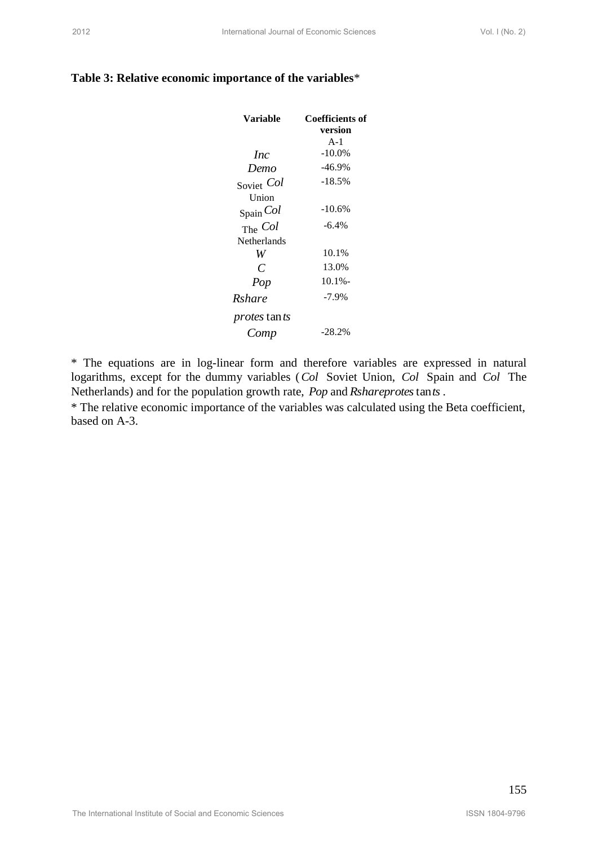|  | Table 3: Relative economic importance of the variables* |  |  |  |
|--|---------------------------------------------------------|--|--|--|
|--|---------------------------------------------------------|--|--|--|

| Table 3: Relative economic importance of the variables* |                    |                                                                                                                                                                                |     |
|---------------------------------------------------------|--------------------|--------------------------------------------------------------------------------------------------------------------------------------------------------------------------------|-----|
|                                                         | <b>Variable</b>    | <b>Coefficients of</b><br>version                                                                                                                                              |     |
|                                                         | <i>Inc</i>         | $A-1$<br>$-10.0\%$                                                                                                                                                             |     |
|                                                         | Demo               | $-46.9%$                                                                                                                                                                       |     |
|                                                         | Soviet Col         | $-18.5%$                                                                                                                                                                       |     |
|                                                         | Union<br>Spain Col | $-10.6%$                                                                                                                                                                       |     |
|                                                         | The Col            | $-6.4%$                                                                                                                                                                        |     |
|                                                         | Netherlands<br>W   | 10.1%                                                                                                                                                                          |     |
|                                                         | $\mathcal{C}$      | 13.0%                                                                                                                                                                          |     |
|                                                         | Pop                | $10.1% -$                                                                                                                                                                      |     |
|                                                         | Rshare             | $-7.9%$                                                                                                                                                                        |     |
|                                                         | protes tants       |                                                                                                                                                                                |     |
|                                                         | Comp               | $-28.2%$                                                                                                                                                                       |     |
|                                                         |                    | Netherlands) and for the population growth rate, Pop and Rshareprotes tants.<br>* The relative economic importance of the variables was calculated using the Beta coefficient, |     |
|                                                         |                    |                                                                                                                                                                                |     |
| based on A-3.                                           |                    |                                                                                                                                                                                |     |
|                                                         |                    |                                                                                                                                                                                | 155 |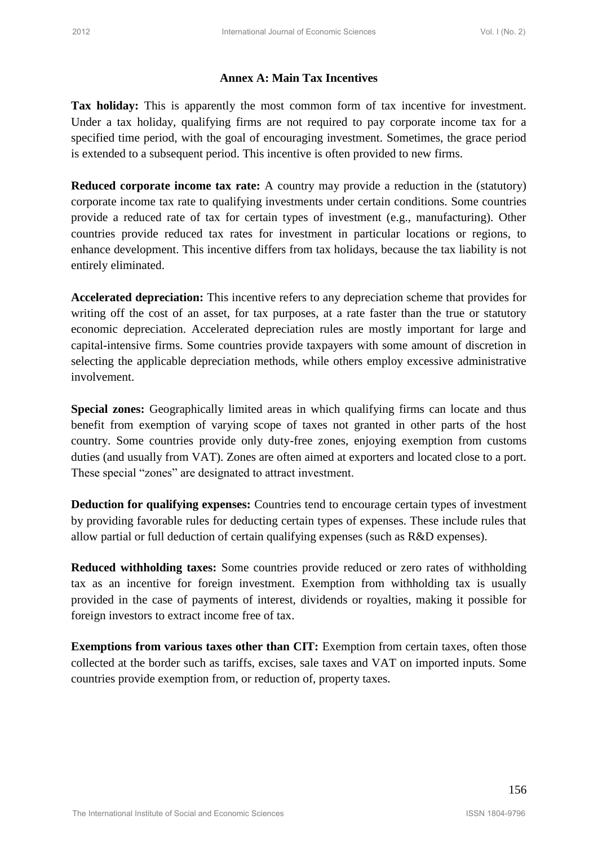## **Annex A: Main Tax Incentives**

**Tax holiday:** This is apparently the most common form of tax incentive for investment. Under a tax holiday, qualifying firms are not required to pay corporate income tax for a specified time period, with the goal of encouraging investment. Sometimes, the grace period is extended to a subsequent period. This incentive is often provided to new firms.

**Reduced corporate income tax rate:** A country may provide a reduction in the (statutory) corporate income tax rate to qualifying investments under certain conditions. Some countries provide a reduced rate of tax for certain types of investment (e.g., manufacturing). Other countries provide reduced tax rates for investment in particular locations or regions, to enhance development. This incentive differs from tax holidays, because the tax liability is not entirely eliminated.

**Accelerated depreciation:** This incentive refers to any depreciation scheme that provides for writing off the cost of an asset, for tax purposes, at a rate faster than the true or statutory economic depreciation. Accelerated depreciation rules are mostly important for large and capital-intensive firms. Some countries provide taxpayers with some amount of discretion in selecting the applicable depreciation methods, while others employ excessive administrative involvement. <sup>2012</sup><br>
<sup>2012</sup><br> **Amec A: Main Tax Incentives**<br> **2022**<br> **Consideration** Journal of the property of most common form of an incentive for investment<br>
Douber a two holiday, qualifying form are more required in pay conjunner in

**Special zones:** Geographically limited areas in which qualifying firms can locate and thus benefit from exemption of varying scope of taxes not granted in other parts of the host country. Some countries provide only duty-free zones, enjoying exemption from customs duties (and usually from VAT). Zones are often aimed at exporters and located close to a port. These special "zones" are designated to attract investment.

**Deduction for qualifying expenses:** Countries tend to encourage certain types of investment by providing favorable rules for deducting certain types of expenses. These include rules that allow partial or full deduction of certain qualifying expenses (such as R&D expenses).

**Reduced withholding taxes:** Some countries provide reduced or zero rates of withholding tax as an incentive for foreign investment. Exemption from withholding tax is usually provided in the case of payments of interest, dividends or royalties, making it possible for foreign investors to extract income free of tax.

**Exemptions from various taxes other than CIT:** Exemption from certain taxes, often those collected at the border such as tariffs, excises, sale taxes and VAT on imported inputs. Some countries provide exemption from, or reduction of, property taxes.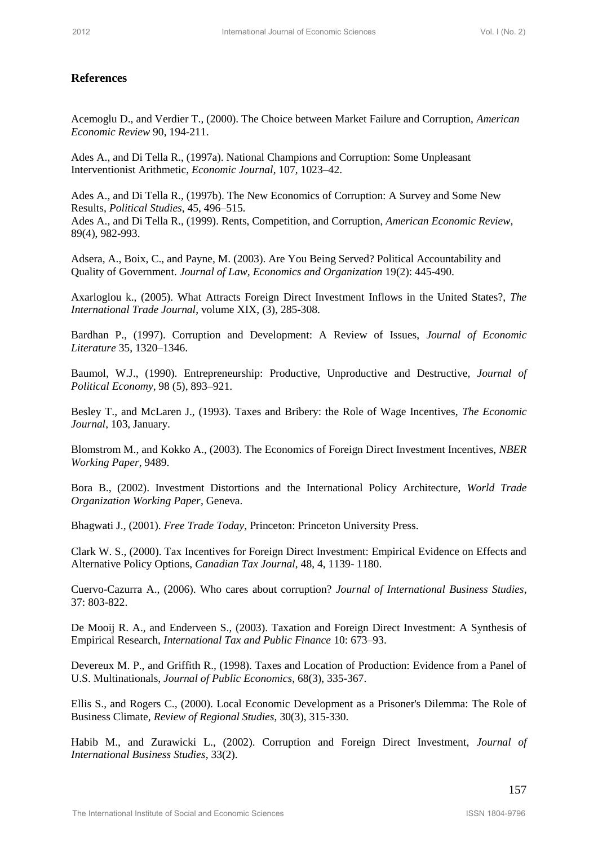## **References**

Acemoglu D., and Verdier T., (2000). The Choice between Market Failure and Corruption, *American Economic Review* 90, 194-211.

Ades A., and Di Tella R., (1997a). National Champions and Corruption: Some Unpleasant Interventionist Arithmetic, *Economic Journal*, 107, 1023–42.

Ades A., and Di Tella R., (1997b). The New Economics of Corruption: A Survey and Some New Results, *Political Studies*, 45, 496–515. Ades A., and Di Tella R., (1999). Rents, Competition, and Corruption, *American Economic Review*, 89(4), 982-993. 2012<br>
2012 International Action Control Control Control Comparison (Secure 2012)<br>
2012 International Action 10.1111<br>
2020 International Action 10.1111<br>
2020 International Action 10.1111<br>
2020 International Action 10.1111 (

Adsera, A., Boix, C., and Payne, M. (2003). Are You Being Served? Political Accountability and Quality of Government. *Journal of Law, Economics and Organization* 19(2): 445-490.

Axarloglou k., (2005). What Attracts Foreign Direct Investment Inflows in the United States?, *The International Trade Journal*, volume XIX, (3), 285-308.

Bardhan P., (1997). Corruption and Development: A Review of Issues, *Journal of Economic Literature* 35, 1320–1346.

Baumol, W.J., (1990). Entrepreneurship: Productive, Unproductive and Destructive, *Journal of Political Economy*, 98 (5), 893–921.

Besley T., and McLaren J., (1993). Taxes and Bribery: the Role of Wage Incentives, *The Economic Journal*, 103, January.

Blomstrom M., and Kokko A., (2003). The Economics of Foreign Direct Investment Incentives, *NBER Working Paper*, 9489.

Bora B., (2002). Investment Distortions and the International Policy Architecture, *World Trade Organization Working Paper*, Geneva.

Bhagwati J., (2001). *Free Trade Today*, Princeton: Princeton University Press.

Clark W. S., (2000). Tax Incentives for Foreign Direct Investment: Empirical Evidence on Effects and Alternative Policy Options, *Canadian Tax Journal*, 48, 4, 1139- 1180.

Cuervo-Cazurra A., (2006). Who cares about corruption? *Journal of International Business Studies*, 37: 803-822.

De Mooij R. A., and Enderveen S., (2003). Taxation and Foreign Direct Investment: A Synthesis of Empirical Research, *International Tax and Public Finance* 10: 673–93.

Devereux M. P., and Griffith R., (1998). Taxes and Location of Production: Evidence from a Panel of U.S. Multinationals, *Journal of Public Economics*, 68(3), 335-367.

Ellis S., and Rogers C., (2000). Local Economic Development as a Prisoner's Dilemma: The Role of Business Climate, *Review of Regional Studies*, 30(3), 315-330.

Habib M., and Zurawicki L., (2002). Corruption and Foreign Direct Investment, *Journal of International Business Studies*, 33(2).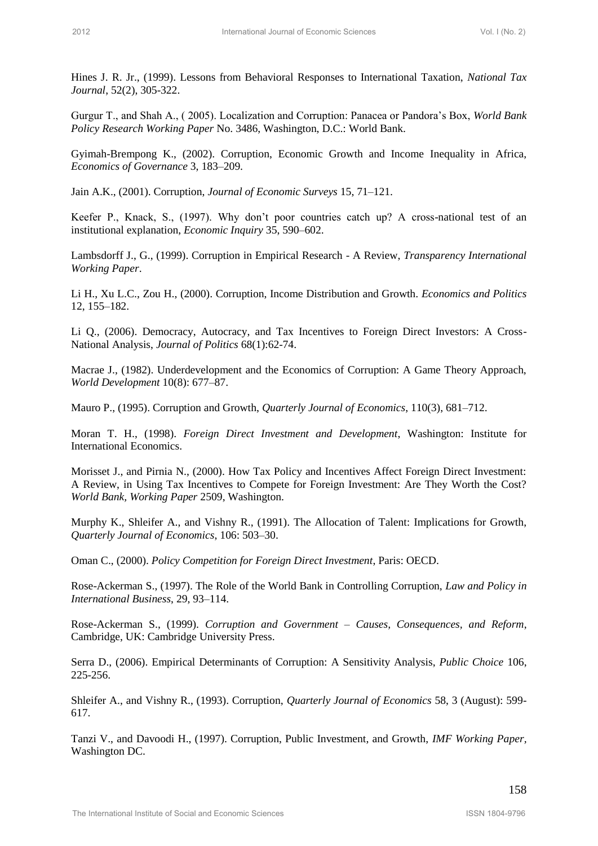Hines J. R. Jr., (1999). Lessons from Behavioral Responses to International Taxation, *National Tax Journal*, 52(2), 305-322.

Gurgur T., and Shah A., ( 2005). Localization and Corruption: Panacea or Pandora"s Box, *World Bank Policy Research Working Paper* No. 3486, Washington, D.C.: World Bank.

Gyimah-Brempong K., (2002). Corruption, Economic Growth and Income Inequality in Africa, *Economics of Governance* 3, 183–209.

Jain A.K., (2001). Corruption, *Journal of Economic Surveys* 15, 71–121.

Keefer P., Knack, S., (1997). Why don"t poor countries catch up? A cross-national test of an institutional explanation, *Economic Inquiry* 35, 590–602.

Lambsdorff J., G., (1999). Corruption in Empirical Research - A Review, *Transparency International Working Paper*.

Li H., Xu L.C., Zou H., (2000). Corruption, Income Distribution and Growth. *Economics and Politics* 12, 155–182.

Li Q., (2006). Democracy, Autocracy, and Tax Incentives to Foreign Direct Investors: A Cross-National Analysis, *Journal of Politics* 68(1):62-74.

Macrae J., (1982). Underdevelopment and the Economics of Corruption: A Game Theory Approach, *World Development* 10(8): 677–87.

Mauro P., (1995). Corruption and Growth, *Quarterly Journal of Economics*, 110(3), 681–712.

Moran T. H., (1998). *Foreign Direct Investment and Development*, Washington: Institute for International Economics.

Morisset J., and Pirnia N., (2000). How Tax Policy and Incentives Affect Foreign Direct Investment: A Review, in Using Tax Incentives to Compete for Foreign Investment: Are They Worth the Cost? *World Bank, Working Paper* 2509, Washington. 2012 International Economic Sciences Conservational Textational Journal of The Conservation (Anti-<br>
2012 Internation 2021 2020 Sciences Vol. 2020 Sciences Vol. International Textation Northern Anti-<br>
Conservation Sciences

Murphy K., Shleifer A., and Vishny R., (1991). The Allocation of Talent: Implications for Growth, *Quarterly Journal of Economics*, 106: 503–30.

Oman C., (2000). *Policy Competition for Foreign Direct Investment*, Paris: OECD.

Rose-Ackerman S., (1997). The Role of the World Bank in Controlling Corruption, *Law and Policy in International Business*, 29, 93–114.

Rose-Ackerman S., (1999). *Corruption and Government – Causes, Consequences, and Reform*, Cambridge, UK: Cambridge University Press.

Serra D., (2006). Empirical Determinants of Corruption: A Sensitivity Analysis, *Public Choice* 106, 225-256.

Shleifer A., and Vishny R., (1993). Corruption, *Quarterly Journal of Economics* 58, 3 (August): 599- 617.

Tanzi V., and Davoodi H., (1997). Corruption, Public Investment, and Growth, *IMF Working Paper,* Washington DC.